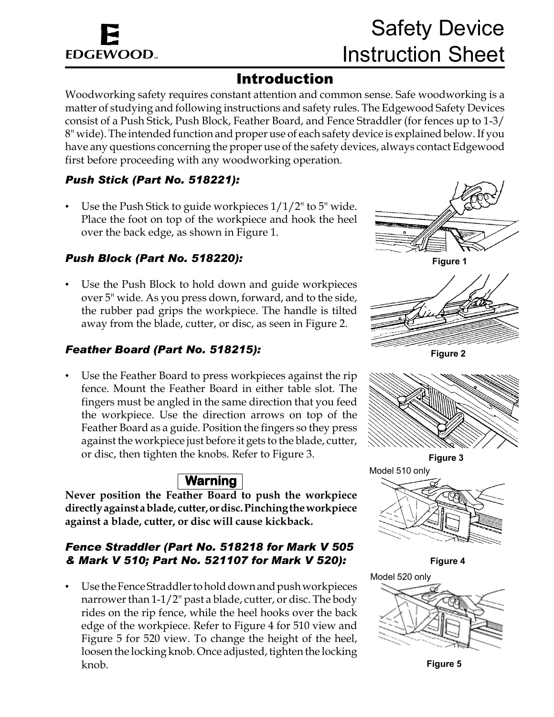# **EDGEWOOD.**

### Introduction

Woodworking safety requires constant attention and common sense. Safe woodworking is a matter of studying and following instructions and safety rules. The Edgewood Safety Devices consist of a Push Stick, Push Block, Feather Board, and Fence Straddler (for fences up to 1-3/ 8" wide). The intended function and proper use of each safety device is explained below. If you have any questions concerning the proper use of the safety devices, always contact Edgewood first before proceeding with any woodworking operation.

#### *Push Stick (Part No. 518221):*

Use the Push Stick to guide workpieces  $1/1/2$ " to 5" wide. Place the foot on top of the workpiece and hook the heel over the back edge, as shown in Figure 1.

#### *Push Block (Part No. 518220):*

Use the Push Block to hold down and guide workpieces over 5" wide. As you press down, forward, and to the side, the rubber pad grips the workpiece. The handle is tilted away from the blade, cutter, or disc, as seen in Figure 2.

#### *Feather Board (Part No. 518215):*

Use the Feather Board to press workpieces against the rip fence. Mount the Feather Board in either table slot. The fingers must be angled in the same direction that you feed the workpiece. Use the direction arrows on top of the Feather Board as a guide. Position the fingers so they press against the workpiece just before it gets to the blade, cutter, or disc, then tighten the knobs. Refer to Figure 3.

#### **Warning**

**Never position the Feather Board to push the workpiece directly against a blade, cutter, or disc. Pinching the workpiece against a blade, cutter, or disc will cause kickback.**

#### *Fence Straddler (Part No. 518218 for Mark V 505 & Mark V 510; Part No. 521107 for Mark V 520):*

• Use the Fence Straddler to hold down and push workpieces narrower than 1-1/2" past a blade, cutter, or disc. The body rides on the rip fence, while the heel hooks over the back edge of the workpiece. Refer to Figure 4 for 510 view and Figure 5 for 520 view. To change the height of the heel, loosen the locking knob. Once adjusted, tighten the locking knob.



**Figure 1**



**Figure 2**



**Figure 3**



**Figure 4**